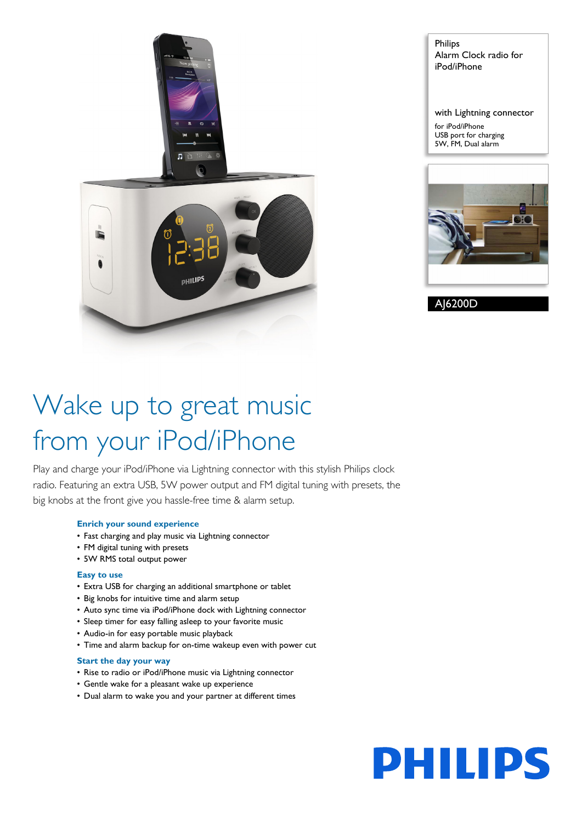

Philips Alarm Clock radio for iPod/iPhone

with Lightning connector for iPod/iPhone

USB port for charging 5W, FM, Dual alarm



AJ6200D

# Wake up to great music from your iPod/iPhone

Play and charge your iPod/iPhone via Lightning connector with this stylish Philips clock radio. Featuring an extra USB, 5W power output and FM digital tuning with presets, the big knobs at the front give you hassle-free time & alarm setup.

## **Enrich your sound experience**

- Fast charging and play music via Lightning connector
- FM digital tuning with presets
- 5W RMS total output power

## **Easy to use**

- Extra USB for charging an additional smartphone or tablet
- Big knobs for intuitive time and alarm setup
- Auto sync time via iPod/iPhone dock with Lightning connector
- Sleep timer for easy falling asleep to your favorite music
- Audio-in for easy portable music playback
- Time and alarm backup for on-time wakeup even with power cut

## **Start the day your way**

- Rise to radio or iPod/iPhone music via Lightning connector
- Gentle wake for a pleasant wake up experience
- Dual alarm to wake you and your partner at different times

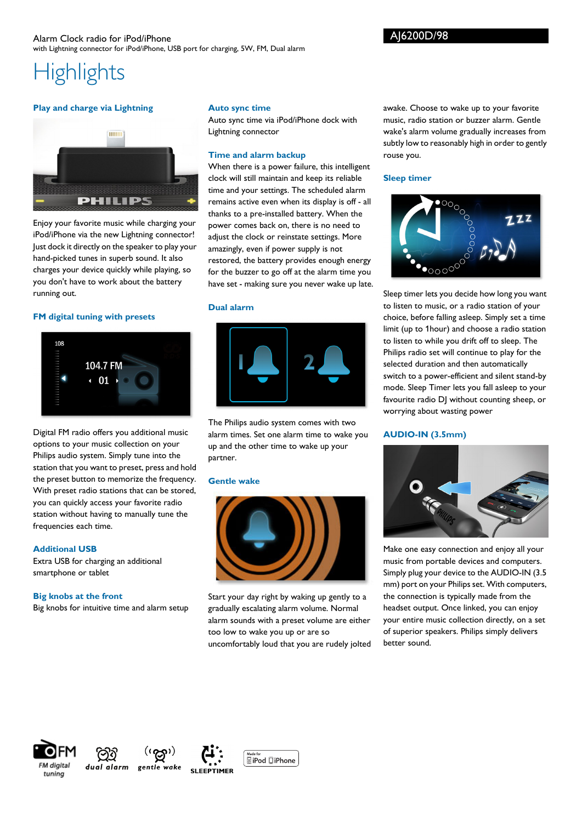## **Highlights**

## **Play and charge via Lightning**



Enjoy your favorite music while charging your iPod/iPhone via the new Lightning connector! Just dock it directly on the speaker to play your hand-picked tunes in superb sound. It also charges your device quickly while playing, so you don't have to work about the battery running out.

## **FM digital tuning with presets**



Digital FM radio offers you additional music options to your music collection on your Philips audio system. Simply tune into the station that you want to preset, press and hold the preset button to memorize the frequency. With preset radio stations that can be stored, you can quickly access your favorite radio station without having to manually tune the frequencies each time.

## **Additional USB**

Extra USB for charging an additional smartphone or tablet

## **Big knobs at the front**

Big knobs for intuitive time and alarm setup

## **Auto sync time**

Auto sync time via iPod/iPhone dock with Lightning connector

## **Time and alarm backup**

When there is a power failure, this intelligent clock will still maintain and keep its reliable time and your settings. The scheduled alarm remains active even when its display is off - all thanks to a pre-installed battery. When the power comes back on, there is no need to adjust the clock or reinstate settings. More amazingly, even if power supply is not restored, the battery provides enough energy for the buzzer to go off at the alarm time you have set - making sure you never wake up late.

## **Dual alarm**



The Philips audio system comes with two alarm times. Set one alarm time to wake you up and the other time to wake up your partner.

## **Gentle wake**



Start your day right by waking up gently to a gradually escalating alarm volume. Normal alarm sounds with a preset volume are either too low to wake you up or are so uncomfortably loud that you are rudely jolted awake. Choose to wake up to your favorite music, radio station or buzzer alarm. Gentle wake's alarm volume gradually increases from subtly low to reasonably high in order to gently rouse you.

## **Sleep timer**



Sleep timer lets you decide how long you want to listen to music, or a radio station of your choice, before falling asleep. Simply set a time limit (up to 1hour) and choose a radio station to listen to while you drift off to sleep. The Philips radio set will continue to play for the selected duration and then automatically switch to a power-efficient and silent stand-by mode. Sleep Timer lets you fall asleep to your favourite radio DJ without counting sheep, or worrying about wasting power

## **AUDIO-IN (3.5mm)**



Make one easy connection and enjoy all your music from portable devices and computers. Simply plug your device to the AUDIO-IN (3.5 mm) port on your Philips set. With computers, the connection is typically made from the headset output. Once linked, you can enjoy your entire music collection directly, on a set of superior speakers. Philips simply delivers better sound.